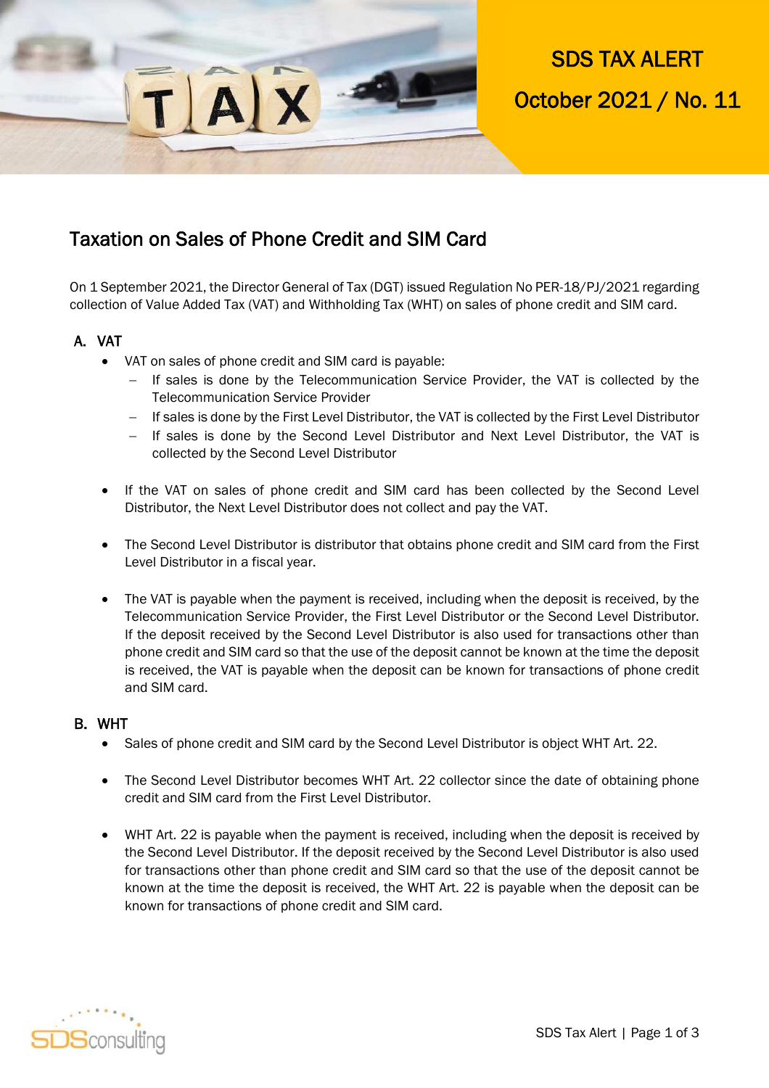SDS TAX ALERT October 2021 / No. 11

### Taxation on Sales of Phone Credit and SIM Card

**XAI** 

On 1 September 2021, the Director General of Tax (DGT) issued Regulation No PER-18/PJ/2021 regarding collection of Value Added Tax (VAT) and Withholding Tax (WHT) on sales of phone credit and SIM card.

### A. VAT

- VAT on sales of phone credit and SIM card is payable:
	- If sales is done by the Telecommunication Service Provider, the VAT is collected by the Telecommunication Service Provider
	- If sales is done by the First Level Distributor, the VAT is collected by the First Level Distributor
	- If sales is done by the Second Level Distributor and Next Level Distributor, the VAT is collected by the Second Level Distributor
- If the VAT on sales of phone credit and SIM card has been collected by the Second Level Distributor, the Next Level Distributor does not collect and pay the VAT.
- The Second Level Distributor is distributor that obtains phone credit and SIM card from the First Level Distributor in a fiscal year.
- The VAT is payable when the payment is received, including when the deposit is received, by the Telecommunication Service Provider, the First Level Distributor or the Second Level Distributor. If the deposit received by the Second Level Distributor is also used for transactions other than phone credit and SIM card so that the use of the deposit cannot be known at the time the deposit is received, the VAT is payable when the deposit can be known for transactions of phone credit and SIM card.

#### B. WHT

- Sales of phone credit and SIM card by the Second Level Distributor is object WHT Art. 22.
- The Second Level Distributor becomes WHT Art. 22 collector since the date of obtaining phone credit and SIM card from the First Level Distributor.
- WHT Art. 22 is payable when the payment is received, including when the deposit is received by the Second Level Distributor. If the deposit received by the Second Level Distributor is also used for transactions other than phone credit and SIM card so that the use of the deposit cannot be known at the time the deposit is received, the WHT Art. 22 is payable when the deposit can be known for transactions of phone credit and SIM card.

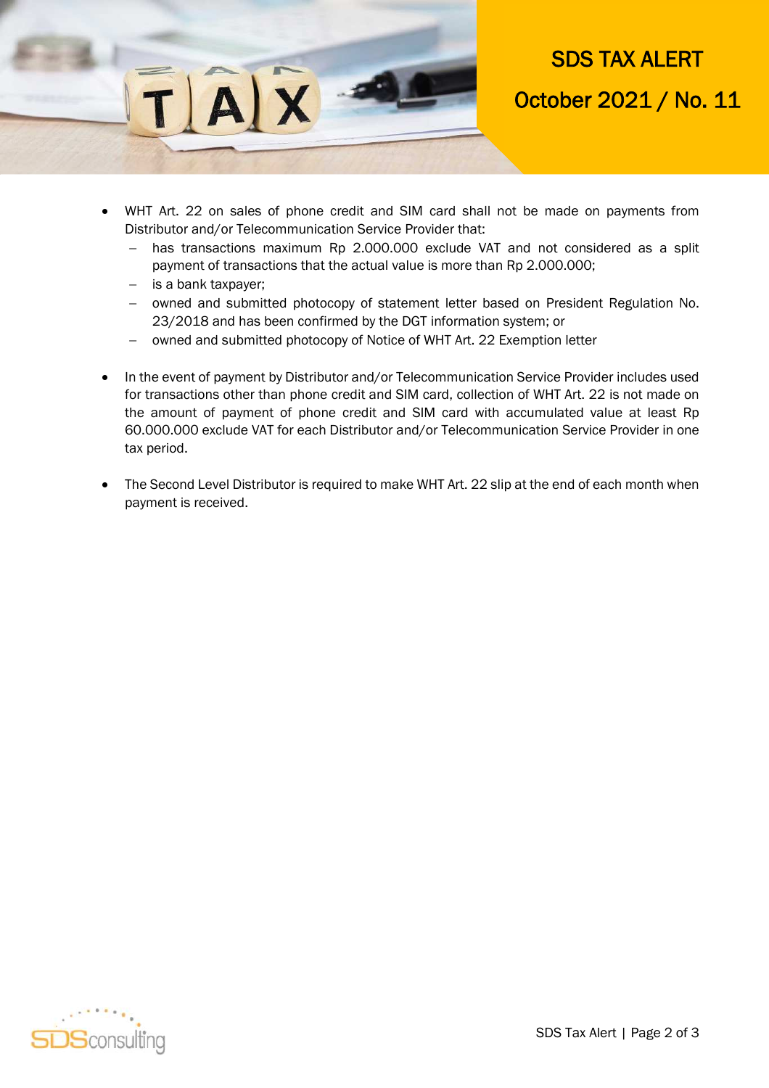

# SDS TAX ALERT October 2021 / No. 11

- WHT Art. 22 on sales of phone credit and SIM card shall not be made on payments from Distributor and/or Telecommunication Service Provider that:
	- has transactions maximum Rp 2.000.000 exclude VAT and not considered as a split payment of transactions that the actual value is more than Rp 2.000.000;
	- is a bank taxpayer;
	- owned and submitted photocopy of statement letter based on President Regulation No. 23/2018 and has been confirmed by the DGT information system; or
	- owned and submitted photocopy of Notice of WHT Art. 22 Exemption letter
- In the event of payment by Distributor and/or Telecommunication Service Provider includes used for transactions other than phone credit and SIM card, collection of WHT Art. 22 is not made on the amount of payment of phone credit and SIM card with accumulated value at least Rp 60.000.000 exclude VAT for each Distributor and/or Telecommunication Service Provider in one tax period.
- The Second Level Distributor is required to make WHT Art. 22 slip at the end of each month when payment is received.